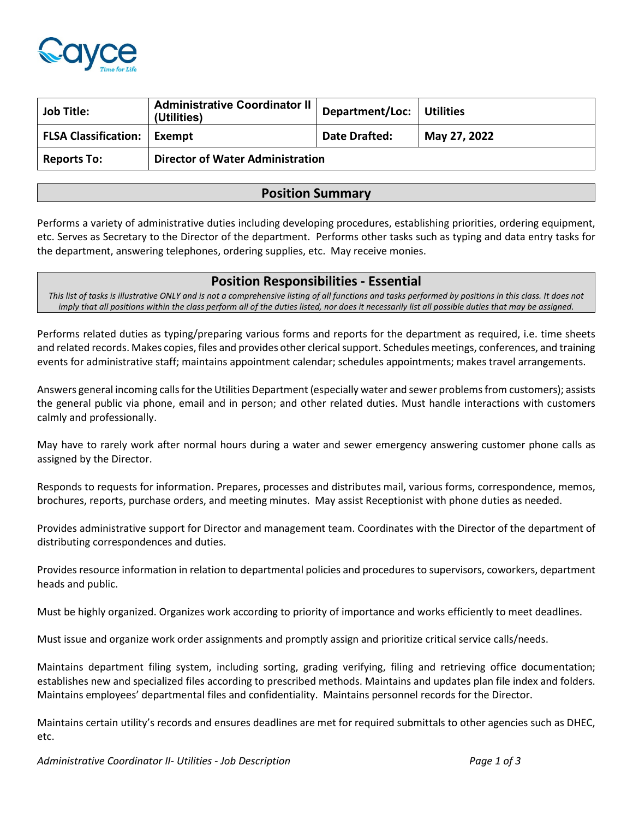

| <b>Job Title:</b>             | Administrative Coordinator II<br>(Utilities) | Department/Loc: Utilities |              |
|-------------------------------|----------------------------------------------|---------------------------|--------------|
| FLSA Classification:   Exempt |                                              | Date Drafted:             | May 27, 2022 |
| <b>Reports To:</b>            | <b>Director of Water Administration</b>      |                           |              |

# **Position Summary**

Performs a variety of administrative duties including developing procedures, establishing priorities, ordering equipment, etc. Serves as Secretary to the Director of the department. Performs other tasks such as typing and data entry tasks for the department, answering telephones, ordering supplies, etc. May receive monies.

## **Position Responsibilities - Essential**

*This list of tasks is illustrative ONLY and is not a comprehensive listing of all functions and tasks performed by positions in this class. It does not imply that all positions within the class perform all of the duties listed, nor does it necessarily list all possible duties that may be assigned.*

Performs related duties as typing/preparing various forms and reports for the department as required, i.e. time sheets and related records. Makes copies, files and provides other clerical support. Schedules meetings, conferences, and training events for administrative staff; maintains appointment calendar; schedules appointments; makes travel arrangements.

Answers general incoming calls for the Utilities Department (especially water and sewer problems from customers); assists the general public via phone, email and in person; and other related duties. Must handle interactions with customers calmly and professionally.

May have to rarely work after normal hours during a water and sewer emergency answering customer phone calls as assigned by the Director.

Responds to requests for information. Prepares, processes and distributes mail, various forms, correspondence, memos, brochures, reports, purchase orders, and meeting minutes. May assist Receptionist with phone duties as needed.

Provides administrative support for Director and management team. Coordinates with the Director of the department of distributing correspondences and duties.

Provides resource information in relation to departmental policies and procedures to supervisors, coworkers, department heads and public.

Must be highly organized. Organizes work according to priority of importance and works efficiently to meet deadlines.

Must issue and organize work order assignments and promptly assign and prioritize critical service calls/needs.

Maintains department filing system, including sorting, grading verifying, filing and retrieving office documentation; establishes new and specialized files according to prescribed methods. Maintains and updates plan file index and folders. Maintains employees' departmental files and confidentiality. Maintains personnel records for the Director.

Maintains certain utility's records and ensures deadlines are met for required submittals to other agencies such as DHEC, etc.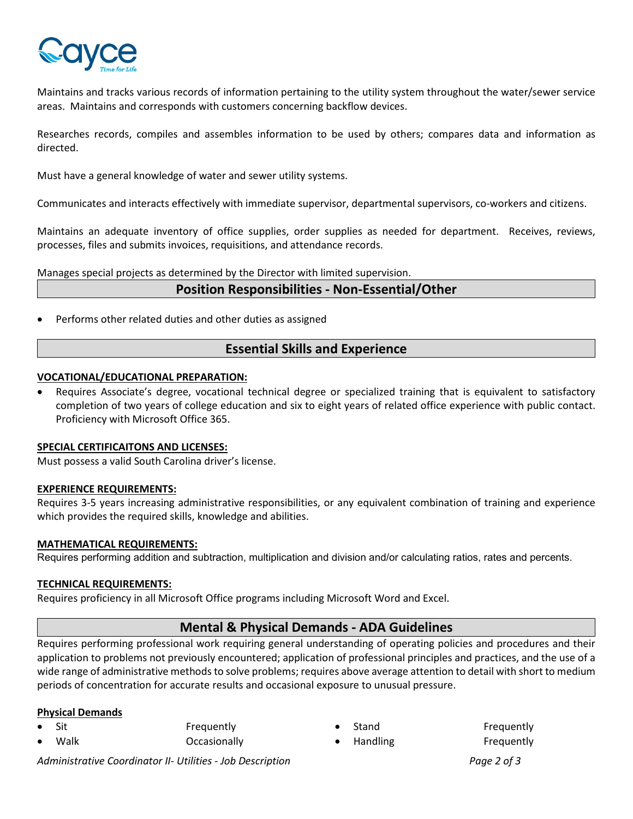

Maintains and tracks various records of information pertaining to the utility system throughout the water/sewer service areas. Maintains and corresponds with customers concerning backflow devices.

Researches records, compiles and assembles information to be used by others; compares data and information as directed.

Must have a general knowledge of water and sewer utility systems.

Communicates and interacts effectively with immediate supervisor, departmental supervisors, co-workers and citizens.

Maintains an adequate inventory of office supplies, order supplies as needed for department. Receives, reviews, processes, files and submits invoices, requisitions, and attendance records.

Manages special projects as determined by the Director with limited supervision.

## **Position Responsibilities - Non-Essential/Other**

Performs other related duties and other duties as assigned

# **Essential Skills and Experience**

### **VOCATIONAL/EDUCATIONAL PREPARATION:**

• Requires Associate's degree, vocational technical degree or specialized training that is equivalent to satisfactory completion of two years of college education and six to eight years of related office experience with public contact. Proficiency with Microsoft Office 365.

### **SPECIAL CERTIFICAITONS AND LICENSES:**

Must possess a valid South Carolina driver's license.

### **EXPERIENCE REQUIREMENTS:**

Requires 3-5 years increasing administrative responsibilities, or any equivalent combination of training and experience which provides the required skills, knowledge and abilities.

### **MATHEMATICAL REQUIREMENTS:**

Requires performing addition and subtraction, multiplication and division and/or calculating ratios, rates and percents.

### **TECHNICAL REQUIREMENTS:**

Requires proficiency in all Microsoft Office programs including Microsoft Word and Excel.

## **Mental & Physical Demands - ADA Guidelines**

Requires performing professional work requiring general understanding of operating policies and procedures and their application to problems not previously encountered; application of professional principles and practices, and the use of a wide range of administrative methods to solve problems; requires above average attention to detail with short to medium periods of concentration for accurate results and occasional exposure to unusual pressure.

### **Physical Demands**

Sit **Frequently** • Walk Occasionally

• Handling Frequently

Stand Frequently

*Administrative Coordinator II- Utilities - Job Description Page 2 of 3*